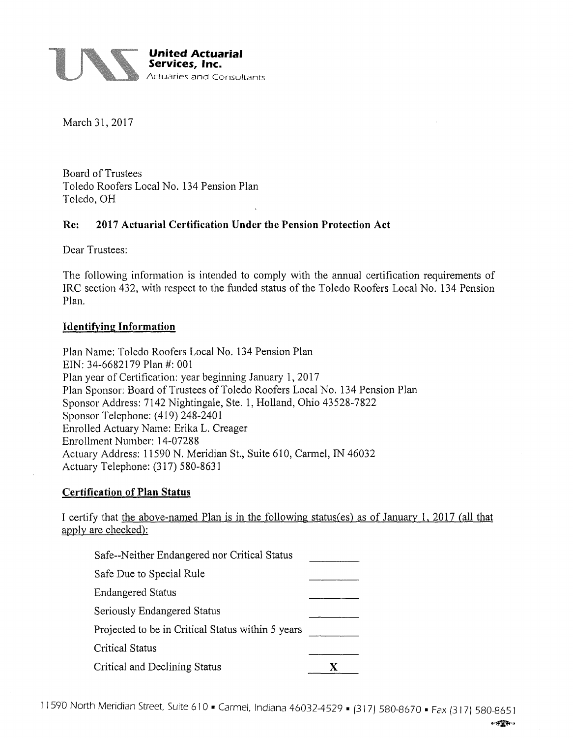

March 31, 2017

Board of Trustees Toledo Roofers Local No. 134 Pension Plan Toledo, OH

## **Re: 2017 Actuarial Certification Under the Pension Protection Act**

Dear Trustees:

The following information is intended to comply with the annual certification requirements of IRC section 432, with respect to the funded status of the Toledo Roofers Local No. 134 Pension Plan.

### **Identifying Information**

Plan Name: Toledo Roofers Local No. 134 Pension Plan EIN: 34-6682179 Plan #: 001 Plan year of Certification: year beginning January 1, 2017 Plan Sponsor: Board of Trustees of Toledo Roofers Local No. 134 Pension Plan Sponsor Address: 7142 Nightingale, Ste. 1, Holland, Ohio 43528-7822 Sponsor Telephone: (419) 248-2401 Enrolled Actuary Name: Erika L. Creager Enrollment Number: 14-07288 Actuary Address: 11590 N. Meridian St., Suite 610, Carmel, IN 46032 Actuary Telephone: (317) 580-8631

### **Certification of Plan Status**

I certify that the above-named Plan is in the following status(es) as of January 1, 2017 (all that apply are checked):

| Safe--Neither Endangered nor Critical Status      |  |
|---------------------------------------------------|--|
| Safe Due to Special Rule                          |  |
| <b>Endangered Status</b>                          |  |
| Seriously Endangered Status                       |  |
| Projected to be in Critical Status within 5 years |  |
| <b>Critical Status</b>                            |  |
| Critical and Declining Status                     |  |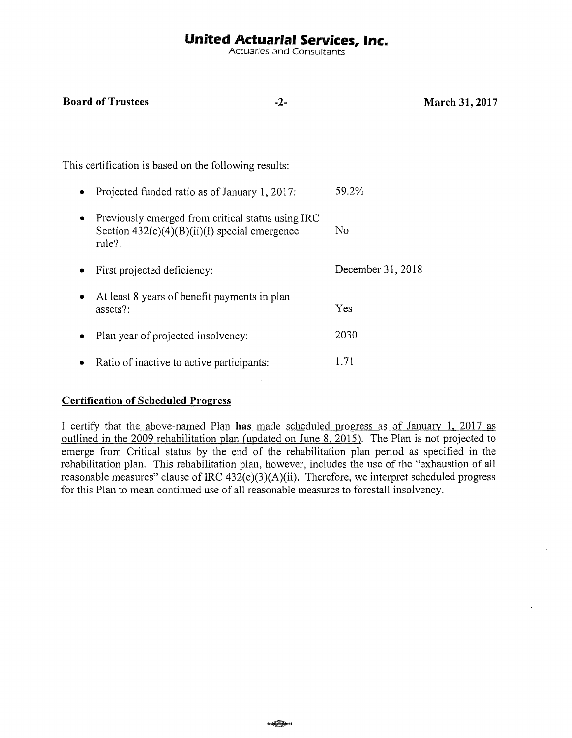# **United Actuarial Services, Inc.**

Actuaries and Consultants

**March 31, 2017** 

| This certification is based on the following results: |                                                                                                                |                   |
|-------------------------------------------------------|----------------------------------------------------------------------------------------------------------------|-------------------|
|                                                       | Projected funded ratio as of January 1, 2017:                                                                  | 59.2%             |
|                                                       | Previously emerged from critical status using IRC<br>Section $432(e)(4)(B)(ii)(I)$ special emergence<br>rule?: | No                |
|                                                       | First projected deficiency:                                                                                    | December 31, 2018 |
|                                                       | At least 8 years of benefit payments in plan<br>assets?:                                                       | Yes               |
|                                                       | Plan year of projected insolvency:                                                                             | 2030              |
|                                                       | Ratio of inactive to active participants:                                                                      | 1.71              |

### **Certification of Scheduled Progress**

**Board of Trustees 42-**

I certify that the above-named Plan **has** made scheduled progress as of January 1, 2017 as outlined in the 2009 rehabilitation plan (updated on June 8, 2015). The Plan is not projected to emerge from Critical status by the end of the rehabilitation plan period as specified in the rehabilitation plan. This rehabilitation plan, however, includes the use of the "exhaustion of all reasonable measures" clause of IRC  $432(e)(3)(A)(ii)$ . Therefore, we interpret scheduled progress for this Plan to mean continued use of all reasonable measures to forestall insolvency.